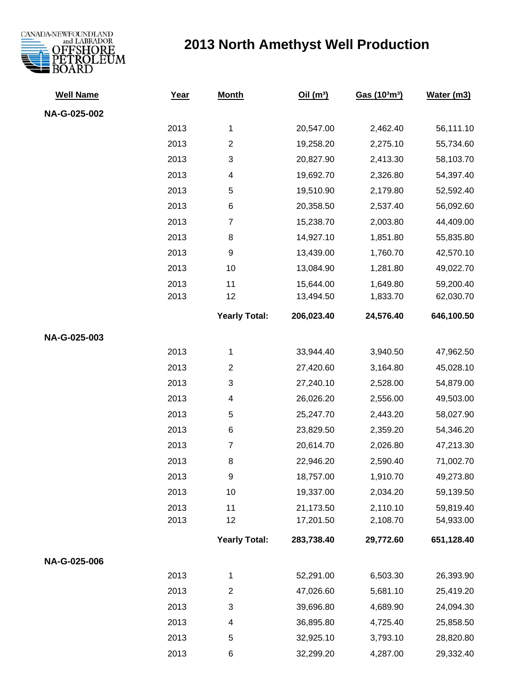

## **2013 North Amethyst Well Production**

| <b>Well Name</b> | Year | <b>Month</b>         | Oil $(m^3)$ | Gas (103m3) | Water (m3) |
|------------------|------|----------------------|-------------|-------------|------------|
| NA-G-025-002     |      |                      |             |             |            |
|                  | 2013 | 1                    | 20,547.00   | 2,462.40    | 56,111.10  |
|                  | 2013 | $\overline{c}$       | 19,258.20   | 2,275.10    | 55,734.60  |
|                  | 2013 | 3                    | 20,827.90   | 2,413.30    | 58,103.70  |
|                  | 2013 | 4                    | 19,692.70   | 2,326.80    | 54,397.40  |
|                  | 2013 | 5                    | 19,510.90   | 2,179.80    | 52,592.40  |
|                  | 2013 | 6                    | 20,358.50   | 2,537.40    | 56,092.60  |
|                  | 2013 | $\overline{7}$       | 15,238.70   | 2,003.80    | 44,409.00  |
|                  | 2013 | 8                    | 14,927.10   | 1,851.80    | 55,835.80  |
|                  | 2013 | 9                    | 13,439.00   | 1,760.70    | 42,570.10  |
|                  | 2013 | 10                   | 13,084.90   | 1,281.80    | 49,022.70  |
|                  | 2013 | 11                   | 15,644.00   | 1,649.80    | 59,200.40  |
|                  | 2013 | 12                   | 13,494.50   | 1,833.70    | 62,030.70  |
|                  |      | <b>Yearly Total:</b> | 206,023.40  | 24,576.40   | 646,100.50 |
| NA-G-025-003     |      |                      |             |             |            |
|                  | 2013 | 1                    | 33,944.40   | 3,940.50    | 47,962.50  |
|                  | 2013 | $\overline{c}$       | 27,420.60   | 3,164.80    | 45,028.10  |
|                  | 2013 | 3                    | 27,240.10   | 2,528.00    | 54,879.00  |
|                  | 2013 | 4                    | 26,026.20   | 2,556.00    | 49,503.00  |
|                  | 2013 | 5                    | 25,247.70   | 2,443.20    | 58,027.90  |
|                  | 2013 | 6                    | 23,829.50   | 2,359.20    | 54,346.20  |
|                  | 2013 | $\overline{7}$       | 20,614.70   | 2,026.80    | 47,213.30  |
|                  | 2013 | 8                    | 22,946.20   | 2,590.40    | 71,002.70  |
|                  | 2013 | 9                    | 18,757.00   | 1,910.70    | 49,273.80  |
|                  | 2013 | 10                   | 19,337.00   | 2,034.20    | 59,139.50  |
|                  | 2013 | 11                   | 21,173.50   | 2,110.10    | 59,819.40  |
|                  | 2013 | 12                   | 17,201.50   | 2,108.70    | 54,933.00  |
|                  |      | <b>Yearly Total:</b> | 283,738.40  | 29,772.60   | 651,128.40 |
| NA-G-025-006     |      |                      |             |             |            |
|                  | 2013 | 1                    | 52,291.00   | 6,503.30    | 26,393.90  |
|                  | 2013 | $\overline{2}$       | 47,026.60   | 5,681.10    | 25,419.20  |
|                  | 2013 | 3                    | 39,696.80   | 4,689.90    | 24,094.30  |
|                  | 2013 | 4                    | 36,895.80   | 4,725.40    | 25,858.50  |
|                  | 2013 | 5                    | 32,925.10   | 3,793.10    | 28,820.80  |
|                  | 2013 | 6                    | 32,299.20   | 4,287.00    | 29,332.40  |